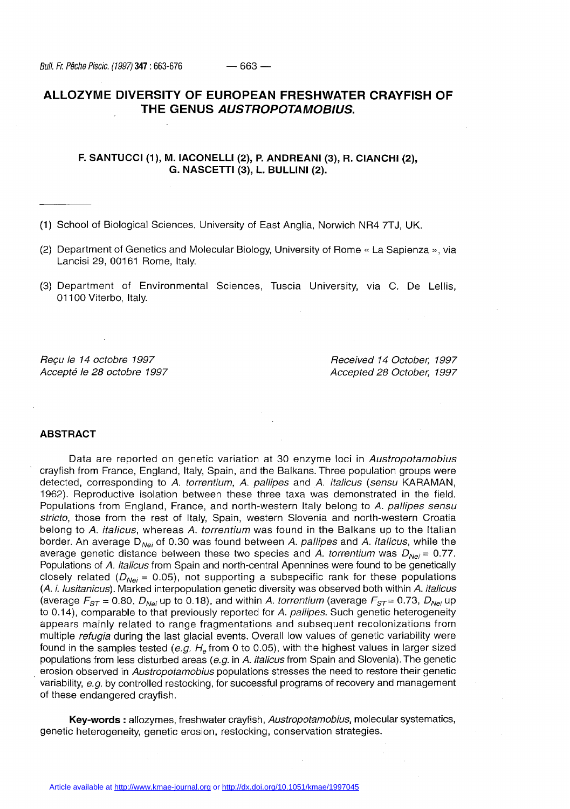# **ALLOZYME DIVERSITY OF EUROPEAN FRESHWATER CRAYFISH OF THE GENUS AUSTROPOTAMOBIUS.**

## **F. SANTUCCI (1), M. IACONELLI (2), P. ANDREANI (3), R. CIANCHI (2), G. NASCETTI (3), L. BULLINI (2).**

**(1)** School of Biological Sciences, University of East Anglia, Norwich NR4 7TJ, UK.

- (2) Department of Genetics and Molecular Biology, University of Rome « La Sapienza », via Lancisi 29, 00161 Rome, Italy.
- (3) Department of Environmental Sciences, Tuscia University, via C. De Lellis, 01100 Viterbo, Italy.

Reçu le 14 octobre 1997 **Received 14 October, 1997** Accepté le 28 octobre 1997 Accepted 28 October, 1997

## **ABSTRACT**

Data are reported on genetic variation at 30 enzyme loci in Austropotamobius crayfish from France, England, Italy, Spain, and the Balkans. Three population groups were detected, corresponding to A. torrentium, A. pallipes and A. italicus (sensu KARAMAN, 1962). Reproductive isolation between these three taxa was demonstrated in the field. Populations from England, France, and north-western Italy belong to A. pallipes sensu stricto, those from the rest of Italy, Spain, western Slovenia and north-western Croatia belong to A. italicus, whereas A. torrentium was found in the Balkans up to the Italian border. An average  $D_{N_{\text{e}}i}$  of 0.30 was found between A. pallipes and A. italicus, while the average genetic distance between these two species and A. torrentium was  $D_{\text{Nei}} = 0.77$ . Populations of A. italicus from Spain and north-central Apennines were found to be genetically closely related ( $D_{Nei}$  = 0.05), not supporting a subspecific rank for these populations (A. i. lusitanicus). Marked interpopulation genetic diversity was observed both within A. italicus (average  $F_{ST}$  = 0.80,  $D_{Nei}$  up to 0.18), and within A. torrentium (average  $F_{ST}$  = 0.73,  $D_{Nei}$  up to 0.14), comparable to that previously reported for A. pallipes. Such genetic heterogeneity appears mainly related to range fragmentations and subsequent recolonizations from multiple *refugia* during the last glacial events. Overall low values of genetic variability were found in the samples tested (e.g. H, from 0 to 0.05), with the highest values in larger sized populations from less disturbed areas (e.g. in A. italicus from Spain and Slovenia). The genetic erosion observed in Austropotamobius populations stresses the need to restore their genetic variability, e.g. by controlled restocking, for successful programs of recovery and management of these endangered crayfish.

**Key-words** : allozymes, freshwater crayfish, Austropotamobius, molecular systematics, genetic heterogeneity, genetic erosion, restocking, conservation strategies.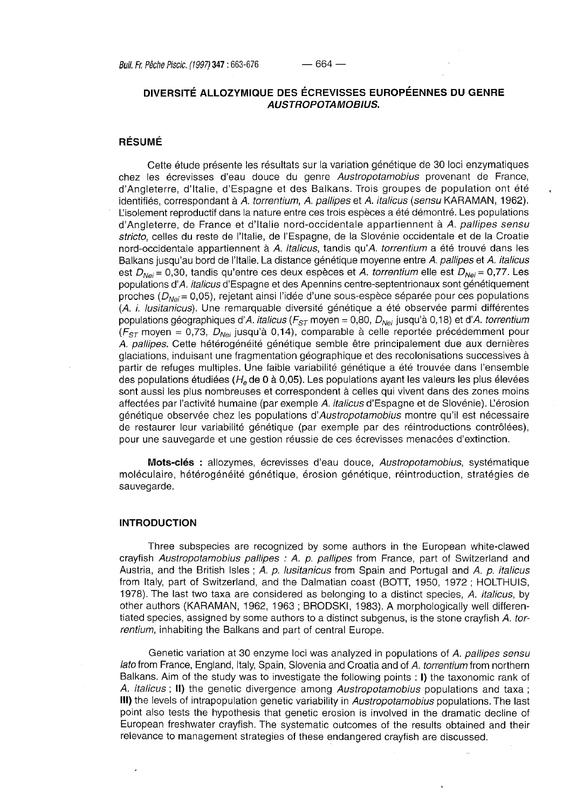## **DIVERSITÉ ALLOZYMIQUE DES ÉCREVISSES EUROPÉENNES DU GENRE AUSTROPOTA MÖBIUS.**

# **RÉSUMÉ**

Cette étude présente les résultats sur la variation génétique de 30 loci enzymatiques chez les écrevisses d'eau douce du genre Austropotamobius provenant de France, d'Angleterre, d'Italie, d'Espagne et des Balkans. Trois groupes de population ont été identifiés, correspondant à A. torrentium, A. pallipes et A. italicus {sensu KARAMAN, 1962). L'isolement reproductif dans la nature entre ces trois espèces a été démontré. Les populations d'Angleterre, de France et d'Italie nord-occidentale appartiennent à A. pallipes sensu stricto, celles du reste de l'Italie, de l'Espagne, de la Slovénie occidentale et de la Croatie nord-occidentale appartiennent à A. italicus, tandis qu'A, torrentium a été trouvé dans les Balkans jusqu'au bord de l'Italie. La distance génétique moyenne entre A. pallipes et A. italicus est  $D_{Nei}$  = 0,30, tandis qu'entre ces deux espèces et A. torrentium elle est  $D_{Nei}$  = 0,77. Les populations d'A. italicus d'Espagne et des Apennins centre-septentrionaux sont génétiquement proches  $(D_{\text{Nei}}= 0.05)$ , rejetant ainsi l'idée d'une sous-espèce séparée pour ces populations (A. i. lusitanicus). Une remarquable diversité génétique a été observée parmi différentes populations géographiques d'A. italicus ( $F_{ST}$  moyen = 0,80,  $D_{N}$ i jusqu'à 0,18) et d'A. torrentium ( $F_{ST}$  moyen = 0,73,  $D_{Nei}$  jusqu'à 0,14), comparable à celle reportée précédemment pour A. pallipes. Cette hétérogénéité génétique semble être principalement due aux dernières glaciations, induisant une fragmentation géographique et des recolonisations successives à partir de refuges multiples. Une faible variabilité génétique a été trouvée dans l'ensemble des populations étudiées ( $H<sub>e</sub>$  de 0 à 0,05). Les populations ayant les valeurs les plus élevées sont aussi les plus nombreuses et correspondent à celles qui vivent dans des zones moins affectées par l'activité humaine (par exemple A. italicus d'Espagne et de Slovénie). Lérosion génétique observée chez les populations d'Austropotamobius montre qu'il est nécessaire de restaurer leur variabilité génétique (par exemple par des réintroductions contrôlées), pour une sauvegarde et une gestion réussie de ces écrevisses menacées d'extinction.

**Mots-clés** : allozymes, écrevisses d'eau douce, Austropotamobius, systématique moléculaire, hétérogénéité génétique, érosion génétique, réintroduction, stratégies de sauvegarde.

## **INTRODUCTION**

Three subspecies are recognized by some authors in the European white-clawed crayfish Austropotamobius pallipes : A. p. pallipes from France, part of Switzerland and Austria, and the British Isles; A. p. lusitanicus from Spain and Portugal and A. p. italicus from Italy, part of Switzerland, and the Dalmatian coast (BOTT, 1950, 1972 ; HOLTHUIS, 1978). The last two taxa are considered as belonging to a distinct species, A. italicus, by other authors (KARAMAN, 1962, 1963 ; BRODSKI, 1983). A morphologically well differentiated species, assigned by some authors to a distinct subgenus, is the stone crayfish A . torrentium, inhabiting the Balkans and part of central Europe.

Genetic variation at 30 enzyme loci was analyzed in populations of A. pallipes sensu lato from France, England, Italy, Spain, Slovenia and Croatia and of A. torrentium from northern Balkans. Aim of the study was to investigate the following points : **I)** the taxonomic rank of A. italicus **; II)** the genetic divergence among Austropotamobius populations and taxa ; **III)** the levels of intrapopulation genetic variability in Austropotamobius populations. The last point also tests the hypothesis that genetic erosion is involved in the dramatic decline of European freshwater crayfish. The systematic outcomes of the results obtained and their relevance to management strategies of these endangered crayfish are discussed.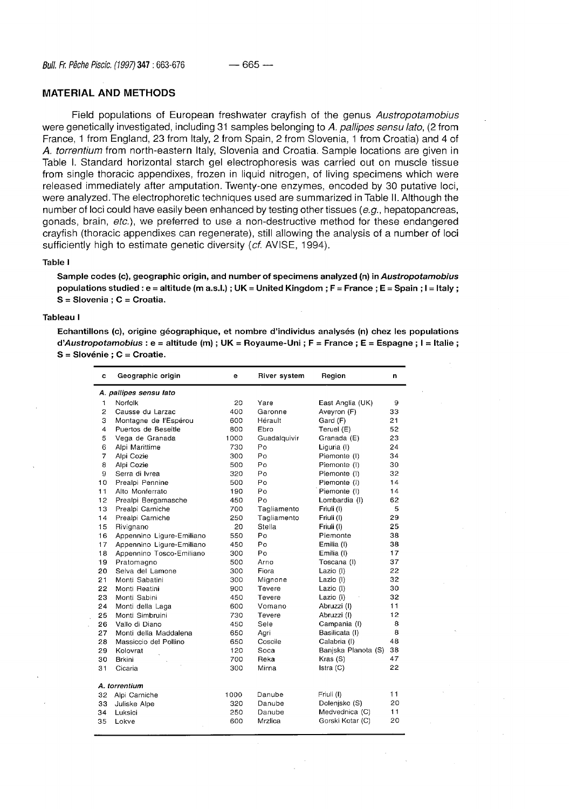## **MATERIAL AND METHODS**

Field populations of European freshwater crayfish of the genus Austropotamobius were genetically investigated, including 31 samples belonging to A. pallipes sensu lato, (2 from France, 1 from England, 23 from Italy, 2 from Spain, 2 from Slovenia, 1 from Croatia) and 4 of A . torrentium from north-eastern Italy, Slovenia and Croatia. Sample locations are given in Table I. Standard horizontal starch gel electrophoresis was carried out on muscle tissue from single thoracic appendixes, frozen in liquid nitrogen, of living specimens which were released immediately after amputation. Twenty-one enzymes, encoded by 30 putative loci, were analyzed. The electrophoretic techniques used are summarized in Table II. Although the number of loci could have easily been enhanced by testing other tissues (e.g., hepatopancreas, gonads, brain, etc.), we preferred to use a non-destructive method for these endangered crayfish (thoracic appendixes can regenerate), still allowing the analysis of a number of loci sufficiently high to estimate genetic diversity (cf. AVISE, 1994).

## **Table I**

**Sample codes (c), geographic origin, and number of specimens analyzed (n) in Austropotamobius populations studied : e = altitude (m a.s.l.) ; UK = United Kingdom ; F = France ; E = Spain ; I = Italy ; S = Slovenia ; C = Croatia.** 

## **Tableau I**

**Echantillons (c), origine géographique, et nombre d'individus analysés (n) chez les populations à'Austropotamobius : e = altitude (m) ; UK = Royaume-Uni ; F = France ; E = Espagne ; I = Italie ; S = Slovénie ; C = Croatie.** 

| с                      | Geographic origin         | е    | River system | Region              | n  |  |  |  |
|------------------------|---------------------------|------|--------------|---------------------|----|--|--|--|
| A. pallipes sensu lato |                           |      |              |                     |    |  |  |  |
| 1                      | Norfolk                   | 20   | Yare         | East Anglia (UK)    | 9  |  |  |  |
| $\overline{2}$         | Causse du Larzac          | 400  | Garonne      | Aveyron (F)         | 33 |  |  |  |
| 3                      | Montagne de l'Espérou     | 600  | Hérault      | Gard (F)            | 21 |  |  |  |
| 4                      | Puertos de Beseitle       | 800  | Ebro         | Teruel (E)          | 52 |  |  |  |
| 5                      | Vega de Granada           | 1000 | Guadalquivir | Granada (E)         | 23 |  |  |  |
| 6                      | Alpi Marittime            | 730  | Po           | Liguria (I)         | 24 |  |  |  |
| $\overline{7}$         | Alpi Cozie                | 300  | Po           | Piemonte (I)        | 34 |  |  |  |
| 8                      | Alpi Cozie                | 500  | Po           | Piemonte (I)        | 30 |  |  |  |
| 9                      | Serra di Ivrea            | 320  | Po           | Piemonte (I)        | 32 |  |  |  |
| 10                     | Prealpi Pennine           | 500  | Po           | Piemonte (I)        | 14 |  |  |  |
| 11                     | Alto Monferrato           | 190  | Po           | Piemonte (I)        | 14 |  |  |  |
| 12                     | Prealpi Bergamasche       | 450  | Po           | Lombardia (I)       | 62 |  |  |  |
| 13                     | Prealpi Carniche          | 700  | Tagliamento  | Friuli (I)          | 5  |  |  |  |
| 14                     | Prealpi Carniche          | 250  | Tagliamento  | Friuli (I)          | 29 |  |  |  |
| 15                     | Rivignano                 | 20   | Stella       | Friuli (I)          | 25 |  |  |  |
| 16                     | Appennino Ligure-Emiliano | 550  | Po           | Piemonte            | 38 |  |  |  |
| 17                     | Appennino Ligure-Emiliano | 450  | Po           | Emilia (I)          | 38 |  |  |  |
| 18                     | Appennino Tosco-Emiliano  | 300  | Po           | Emilia (I)          | 17 |  |  |  |
| 19                     | Pratomagno                | 500  | Arno         | Toscana (I)         | 37 |  |  |  |
| 20                     | Selva del Lamone          | 300  | Fiora        | Lazio (I)           | 22 |  |  |  |
| 21                     | Monti Sabatini            | 300  | Mignone      | Lazio (I)           | 32 |  |  |  |
| 22                     | Monti Reatini             | 900  | Tevere       | Lazio (I)           | 30 |  |  |  |
| 23                     | Monti Sabini              | 450  | Tevere       | Lazio (I)           | 32 |  |  |  |
| 24                     | Monti della Laga          | 600  | Vomano       | Abruzzi (I)         | 11 |  |  |  |
| 25                     | Monti Simbruini           | 730  | Tevere       | Abruzzi (I)         | 12 |  |  |  |
| 26                     | Vallo di Diano            | 450  | Sele         | Campania (I)        | 8  |  |  |  |
| 27                     | Monti della Maddalena     | 650  | Agri         | Basilicata (I)      | 8  |  |  |  |
| 28                     | Massiccio del Pollino     | 650  | Coscile      | Calabria (I)        | 48 |  |  |  |
| 29                     | Kolovrat                  | 120  | Soca         | Banjska Planota (S) | 38 |  |  |  |
| 30                     | Brkini                    | 700  | Reka         | Kras (S)            | 47 |  |  |  |
| 31                     | Cicaria                   | 300  | Mirna        | Istra $(C)$         | 22 |  |  |  |
| A. torrentium          |                           |      |              |                     |    |  |  |  |
| 32                     | Alpi Carniche             | 1000 | Danube       | Friuli (I)          | 11 |  |  |  |
| 33                     | Juliske Alpe              | 320  | Danube       | Dolenjsko (S)       | 20 |  |  |  |
| 34                     | Luksici                   | 250  | Danube       | Medvednica (C)      | 11 |  |  |  |
| 35                     | Lokve                     | 600  | Mrzlica      | Gorski Kotar (C)    | 20 |  |  |  |
|                        |                           |      |              |                     |    |  |  |  |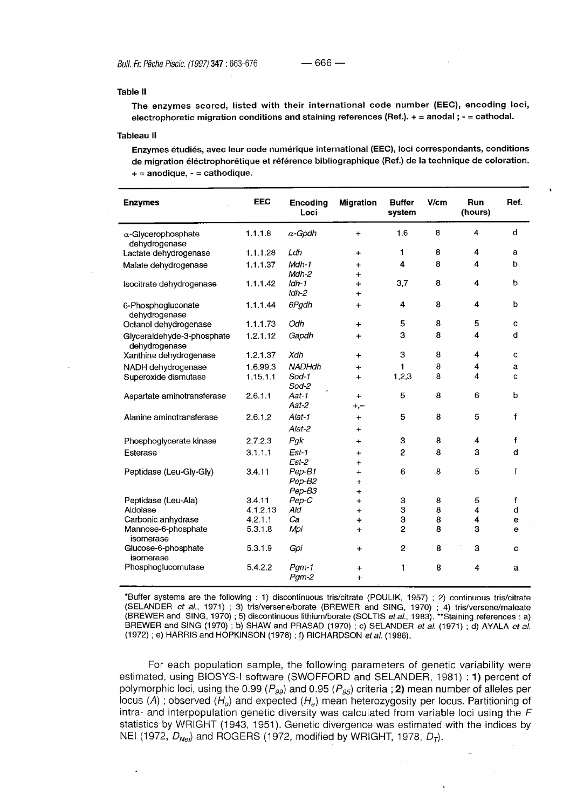#### **Table II**

**The enzymes scored, listed with their international code number (EEC), encoding loci, electrophoretic migration conditions and staining references (Ref.)- + = anodal ; - = cathodal.** 

#### **Tableau II**

**Enzymes étudiés, avec leur code numérique international (EEC), loci correspondants, conditions de migration éléctrophorétique et référence bibliographique (Ref.) de la technique de coloration. + = anodique, - = cathodique.** 

| <b>Enzymes</b>                              | <b>EEC</b> | <b>Encoding</b><br>Loci | <b>Migration</b>       | <b>Buffer</b><br>system | V/cm | Run<br>(hours)          | Ref.         |
|---------------------------------------------|------------|-------------------------|------------------------|-------------------------|------|-------------------------|--------------|
| $\alpha$ -Glycerophosphate<br>dehydrogenase | 1.1.1.8    | $\alpha$ -Gpdh          | $\ddot{}$              | 1,6                     | 8    | 4                       | d            |
| Lactate dehydrogenase                       | 1.1.1.28   | Ldh                     | $\ddot{}$              | 1                       | 8    | $\overline{\mathbf{4}}$ | a            |
| Malate dehydrogenase                        | 1.1.1.37   | Mah-1<br>Mdh-2          | $\ddot{}$<br>$+$       | 4                       | 8    | 4                       | b            |
| Isocitrate dehydrogenase                    | 1.1.1.42   | $ldh-1$<br>$Idh-2$      | $\ddot{}$<br>$\ddot{}$ | 3,7                     | 8    | 4                       | b            |
| 6-Phosphogluconate<br>dehydrogenase         | 1.1.1.44   | 6Pgdh                   | $\ddot{+}$             | 4                       | 8    | 4                       | b            |
| Octanol dehydrogenase                       | 1.1.1.73   | Odh                     | $+$                    | 5                       | 8    | 5                       | C            |
| Glyceraldehyde-3-phosphate<br>dehydrogenase | 1.2.1.12   | Gapdh                   | $\ddot{}$              | з                       | 8    | 4                       | d            |
| Xanthine dehydrogenase                      | 1.2.1.37   | Xdh                     | $\ddot{}$              | 3                       | 8    | 4                       | c            |
| NADH dehydrogenase                          | 1.6.99.3   | <b>NADHdh</b>           | $+$                    | 1                       | 8    | 4                       | a            |
| Superoxide dismutase                        | 1.15.1.1   | $Sod-1$<br>Sod-2        | $\ddot{}$              | 1,2,3                   | 8    | 4                       | C            |
| Aspartate aminotransferase                  | 2.6.1.1    | Aat-1<br>Aat-2          | ÷<br>$+,-$             | 5                       | 8    | 6                       | b            |
| Alanine aminotransferase                    | 2.6.1.2    | Alat-1<br>Alat-2        | $\ddot{}$<br>$\ddot{}$ | 5                       | 8    | 5                       | f            |
| Phosphoglycerate kinase                     | 2.7.2.3    | Pgk                     | $\ddot{}$              | 3                       | 8    | 4                       | $\mathbf f$  |
| Esterase                                    | 3.1.1.1    | $Est-1$                 | $\ddot{}$              | $\overline{c}$          | 8    | 3                       | d            |
|                                             |            | $Est-2$                 | ÷                      |                         |      |                         |              |
| Peptidase (Leu-Gly-Gly)                     | 3.4.11     | Pep-B1                  | $\ddot{}$              | 6                       | 8    | 5                       | $\mathbf{f}$ |
|                                             |            | Pep-B2<br>Pep-B3        | $\ddot{}$<br>$\ddot{}$ |                         |      |                         |              |
| Peptidase (Leu-Ala)                         | 3.4.11     | Pep-C                   | $\ddot{}$              | З                       | 8    | 5                       | f            |
| Aldolase                                    | 4.1.2.13   | Ald                     | $+$                    | З                       | 8    | 4                       | d            |
| Carbonic anhydrase                          | 4.2.1.1    | Ca                      | ÷                      | 3                       | 8    | 4                       | е            |
| Mannose-6-phosphate<br>isomerase            | 5.3.1.8    | Mpi                     | $\ddotmark$            | 2                       | 8    | 3                       | $\Theta$     |
| Glucose-6-phosphate<br>isomerase            | 5.3.1.9    | Gpi                     | $\ddot{}$              | $\overline{2}$          | 8    | 3                       | C            |
| Phosphoglucomutase                          | 5.4.2.2    | $Pgm-1$                 | +                      | 1                       | 8    | 4                       | a            |
|                                             |            | $Pgm-2$                 | $\ddot{}$              |                         |      |                         |              |

'Buffer systems are the following : 1) discontinuous tris/citrate (POULIK, 1957) ; 2) continuous tris/citrate (SELANDER et al., 1971) ; 3) tris/versene/borate (BREWER and SING, 1970) ; 4) tris/versene/maleate (BREWER and SING, 1970) ; 5) discontinuous lithium/borate (SOLTIS *et al.*, 1983). \*\*Staining references : a) BREWER and SING (1970); b) SHAW and PRASAD (1970); c) SELANDER et al. (1971); d) AYALA et al. (1972); e) HARRIS and HOPKINSON (1976); f) RICHARDSON  $et$  al. (1986).

For each population sample, the following parameters of genetic variability were estimated, using BIOSYS-I software (SWOFFORD and SELANDER, 1981) : **1)** percent of polymorphic loci, using the 0.99 ( $P_{gg}$ ) and 0.95 ( $P_{gg}$ ) criteria ; 2) mean number of alleles per locus (A); observed ( $H_o$ ) and expected ( $H_e$ ) mean heterozygosity per locus. Partitioning of intra- and interpopulation genetic diversity was calculated from variable loci using the F statistics by WRIGHT (1943, 1951). Genetic divergence was estimated with the indices by NEI (1972,  $D_{\text{Nei}}$ ) and ROGERS (1972, modified by WRIGHT, 1978,  $D_T$ ).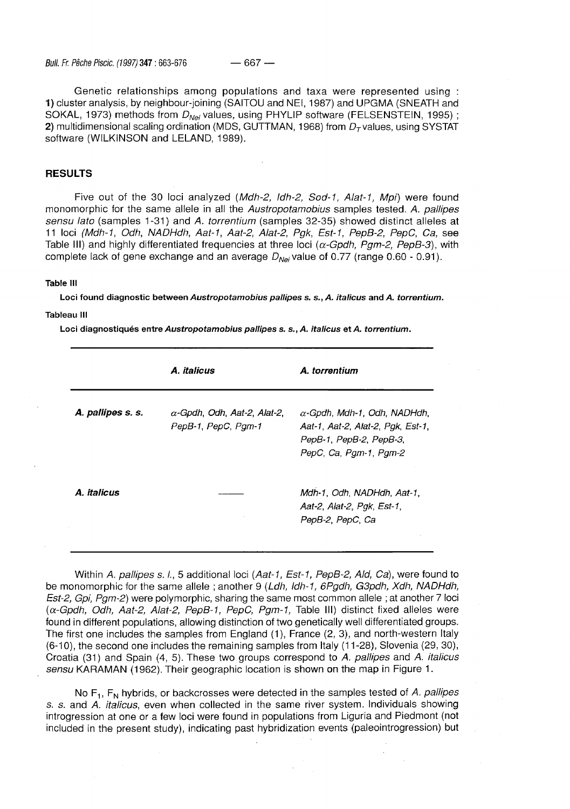Genetic relationships among populations and taxa were represented using : **1)** cluster analysis, by neighbour-joining (SAITOU and NEI, 1987) and UPGMA (SNEATH and SOKAL, 1973) methods from  $D_{Nei}$  values, using PHYLIP software (FELSENSTEIN, 1995); **2)** multidimensional scaling ordination (MDS, GUTTMAN, 1968) from  $D<sub>T</sub>$  values, using SYSTAT software (WILKINSON and LELAND, 1989).

## **RESULTS**

Five out of the 30 loci analyzed (Mdh-2, Idh-2, Sod-1, Alat-1, Mpi) were found monomorphic for the same allele in all the Austropotamobius samples tested. A. pallipes sensu lato (samples 1-31) and A. torrentium (samples 32-35) showed distinct alleles at 11 loci (Mdh-1, Odh, NADHdh, Aat-1, Aat-2, Alat-2, Pgk, Est-1, PepB-2, PepC, Ca, see Table III) and highly differentiated frequencies at three loci ( $\alpha$ -Gpdh, Pgm-2, PepB-3), with complete lack of gene exchange and an average  $D_{Nei}$  value of 0.77 (range 0.60 - 0.91).

### **Table III**

**Loci found diagnostic between Austropotamobius pallipes s. s.,A. italicus and A. torrentium.** 

**Tableau III** 

**Loci diagnostiqués entre Austropotamobius pallipes s. s.,A. italicus et A. torrentium.** 

|                   | A. italicus                                                | A. torrentium                                                                                                                 |
|-------------------|------------------------------------------------------------|-------------------------------------------------------------------------------------------------------------------------------|
| A. pallipes s. s. | $\alpha$ -Gpdh, Odh, Aat-2, Alat-2,<br>PepB-1, PepC, Pgm-1 | $\alpha$ -Gpdh, Mdh-1, Odh, NADHdh,<br>Aat-1, Aat-2, Alat-2, Pak, Est-1,<br>PepB-1, PepB-2, PepB-3,<br>PepC, Ca, Pgm-1, Pgm-2 |
| A. italicus       |                                                            | Mdh-1, Odh, NADHdh, Aat-1,<br>Aat-2, Alat-2, Pak, Est-1,<br>PepB-2, PepC, Ca                                                  |

Within A. pallipes s. l., 5 additional loci (Aat-1, Est-1, PepB-2, Ald, Ca), were found to be monomorphic for the same allele; another 9 (Ldh, ldh-1, 6Pgdh, G3pdh, Xdh, NADHdh, Est-2, Gpi, Pgm-2) were polymorphic, sharing the same most common allele ; at another 7 loci  $(\alpha$ -Gpdh, Odh, Aat-2, Alat-2, PepB-1, PepC, Pgm-1, Table III) distinct fixed alleles were found in different populations, allowing distinction of two genetically well differentiated groups. The first one includes the samples from England (1), France (2, 3), and north-western Italy (6-10), the second one includes the remaining samples from Italy (11 -28), Slovenia (29, 30), Croatia (31) and Spain (4, 5). These two groups correspond to A. pallipes and A. *italicus* sensu KARAMAN (1962). Their geographic location is shown on the map in Figure 1.

No  $F_1$ ,  $F_N$  hybrids, or backcrosses were detected in the samples tested of A. pallipes s. s. and A. italicus, even when collected in the same river system. Individuals showing introgression at one or a few loci were found in populations from Liguria and Piedmont (not included in the present study), indicating past hybridization events (paleointrogression) but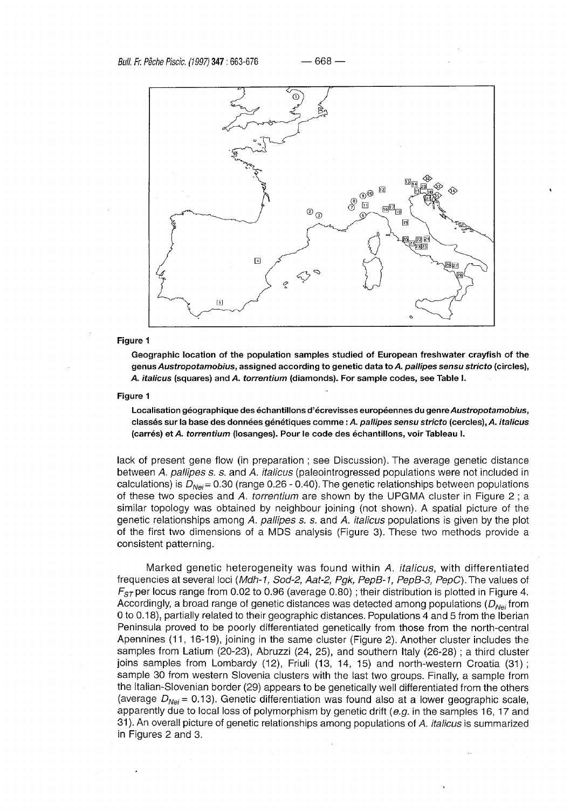

### **Figure 1**

**Geographie location of the population samples studied of European freshwater crayfish of the genus Austropotamobius, assigned according to genetic data to A pallipes sensu stricto (circles), A italicus (squares) and A torrentium (diamonds). For sample codes, see Table I.** 

#### **Figure 1**

**Localisation géographique des échantillons d'écrevisses européennes du genre Austropotamobius, classés sur la base des données génétiques comme : A pallipes sensu stricto (cercles), A italicus (carrés) et A torrentium (losanges). Pour le code des échantillons, voir Tableau I.** 

lack of present gene flow (in preparation ; see Discussion). The average genetic distance between A. pallipes s. s. and A. italicus (paleointrogressed populations were not included in calculations) is  $D_{\text{N}e\text{i}}$  = 0.30 (range 0.26 - 0.40). The genetic relationships between populations of these two species and A, torrentium are shown by the UPGMA cluster in Figure 2; a similar topology was obtained by neighbour joining (not shown). A spatial picture of the genetic relationships among A. pallipes s. s. and A. *italicus* populations is given by the plot of the first two dimensions of a MDS analysis (Figure 3). These two methods provide a consistent patterning.

Marked genetic heterogeneity was found within A. *italicus*, with differentiated frequencies at several loci (Mdh-1, Sod-2, Aat-2, Pgk, PepB-1, PepB-3, PepC). The values of  $F_{ST}$  per locus range from 0.02 to 0.96 (average 0.80); their distribution is plotted in Figure 4. Accordingly, a broad range of genetic distances was detected among populations ( $D_{\text{N}e\text{i}}$  from 0 to 0.18), partially related to their geographic distances. Populations 4 and 5 from the Iberian Peninsula proved to be poorly differentiated genetically from those from the north-central Apennines (11, 16-19), joining in the same cluster (Figure 2). Another cluster includes the samples from Latium (20-23), Abruzzi (24, 25), and southern Italy (26-28) ; a third cluster joins samples from Lombardy (12), Friuli (13, 14, 15) and north-western Croatia (31); sample 30 from western Slovenia clusters with the last two groups. Finally, a sample from the Italian-Slovenian border (29) appears to be genetically well differentiated from the others (average  $D_{Nei}$  = 0.13). Genetic differentiation was found also at a lower geographic scale, apparently due to local loss of polymorphism by genetic drift (e.g. in the samples 16, 17 and 31). An overall picture of genetic relationships among populations of A. italicus is summarized in Figures 2 and 3.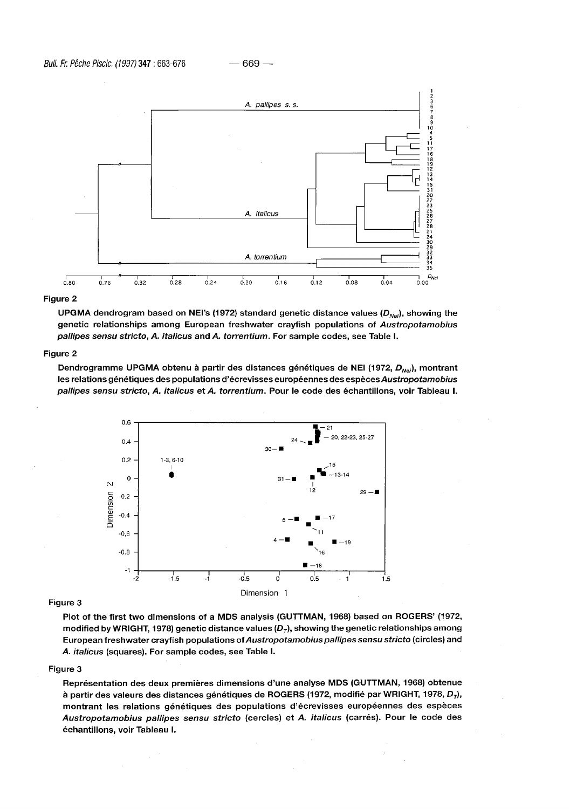

## **Figure 2**

**UPGMA dendrogram based on NEI's (1972) standard genetic distance values (DNej), showing the genetic relationships among European freshwater crayfish populations of Austropotamobius pallipes sensu stricto, A. italicus and A. torrentium. For sample codes, see Table I.** 

### **Figure 2**

**Dendrogramme UPGMA obtenu à partir des distances génétiques de NEI (1972, DNei), montrant les relations génétiques des populations d'écrevisses européennes des espèces Austropotamobius pallipes sensu stricto, A. italicus et A. torrentium. Pour le code des échantillons, voir Tableau I.** 



#### **Figure 3**

**Plot of the first two dimensions of a MDS analysis (GUTTMAN, 1968) based on ROGERS' (1972, modified by WRIGHT, 1978) genetic distance values (DT), showing the genetic relationships among European freshwater crayfish populations of Austropotamobius pallipes sensu stricto (circles) and A. italicus (squares). For sample codes, see Table I.** 

## **Figure 3**

**Représentation des deux premières dimensions d'une analyse MDS (GUTTMAN, 1968) obtenue**  à partir des valeurs des distances génétiques de ROGERS (1972, modifié par WRIGHT, 1978, D<sub>T</sub>), **montrant les relations génétiques des populations d'écrevisses européennes des espèces Austropotamobius pallipes sensu stricto (cercles) et A. italicus (carrés). Pour le code des échantillons, voir Tableau I.**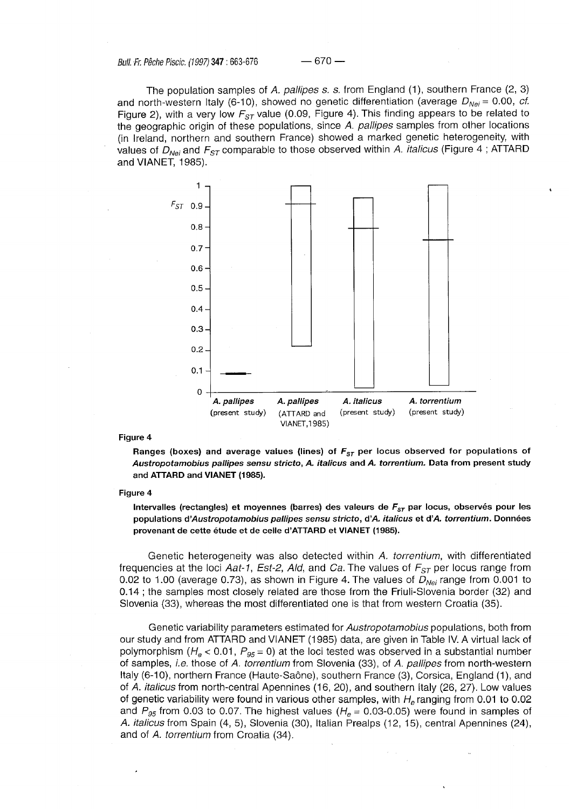Bull. Fr. Pêche Piscic. (1997) **347:663-676** — 670 —

The population samples of A. pallipes s. s. from England (1), southern France  $(2, 3)$ and north-western Italy (6-10), showed no genetic differentiation (average  $D_{Nei}= 0.00$ , cf. Figure 2), with a very low  $F_{ST}$  value (0.09, Figure 4). This finding appears to be related to the geographic origin of these populations, since A. pallipes samples from other locations (in Ireland, northern and southern France) showed a marked genetic heterogeneity, with values of  $D_{Nei}$  and  $F_{ST}$  comparable to those observed within A. *italicus* (Figure 4; ATTARD and VIANET, 1985).



## **Figure 4**

**Ranges (boxes) and average values (lines) of**  $F_{ST}$  **per locus observed for populations of Austropotamobius pallipes sensu stricto, A. italicus and A. torrentium. Data from present study and ATTARD and VIANET (1985).** 

#### **Figure 4**

Intervalles (rectangles) et moyennes (barres) des valeurs de  $F_{ST}$  par locus, observés pour les **populations à'Austropotamobius pallipes sensu stricto, d'A. italicus et d'A torrentium. Données provenant de cette étude et de celle d'ATTARD et VIANET (1985).** 

Genetic heterogeneity was also detected within A. torrentium, with differentiated frequencies at the loci Aat-1, Est-2, Ald, and Ca. The values of  $F_{ST}$  per locus range from 0.02 to 1.00 (average 0.73), as shown in Figure 4. The values of  $D_{Nei}$  range from 0.001 to 0.14 ; the samples most closely related are those from the Friuli-Slovenia border (32) and Slovenia (33), whereas the most differentiated one is that from western Croatia (35).

Genetic variability parameters estimated for Austropotamobius populations, both from our study and from ATTARD and VIANET (1985) data, are given in Table IV. A virtual lack of polymorphism ( $H_e < 0.01$ ,  $P_{95} = 0$ ) at the loci tested was observed in a substantial number of samples, *i.e.* those of A. torrentium from Slovenia (33), of A. pallipes from north-western Italy (6-10), northern France (Haute-Saône), southern France (3), Corsica, England (1), and of A. *italicus* from north-central Apennines (16, 20), and southern Italy (26, 27). Low values of genetic variability were found in various other samples, with  $H<sub>e</sub>$  ranging from 0.01 to 0.02 and  $P_{95}$  from 0.03 to 0.07. The highest values ( $H_e$  = 0.03-0.05) were found in samples of A italicus from Spain (4, 5), Slovenia (30), Italian Prealps (12, 15), central Apennines (24), and of A. torrentium from Croatia (34).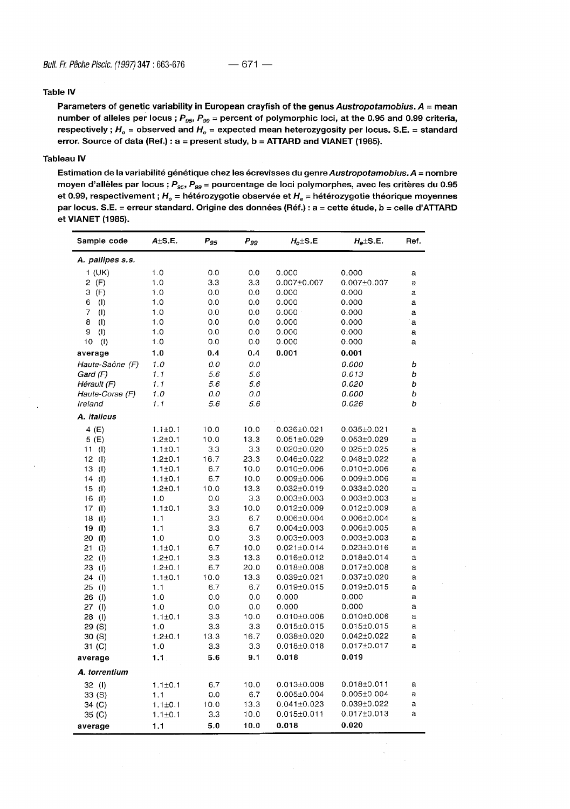## **Table IV**

Parameters of genetic variability in European crayfish of the genus Austropotamobius. A = mean number of alleles per locus ;  $P_{gs}$ ,  $P_{gg}$  = percent of polymorphic loci, at the 0.95 and 0.99 criteria, **respectively ; H0 = observed and He = expected mean heterozygosity per locus. S.E. = standard error. Source of data (Ref.) : a = present study, b = ATTARD and VIANET (1985).** 

### **Tableau IV**

**Estimation de la variabilité génétique chez les écrevisses du genre Austropotamobius. A = nombre moyen d'allèles par locus ; Pgs, Pgg = pourcentage de loci polymorphes, avec les critères du 0.95 et 0.99, respectivement ; H0 = hétérozygotie observée et He = hétérozygotie théorique moyennes par locus. S.E. = erreur standard. Origine des données (Réf.) : a = cette étude, b = celle d'ATTARD et VIANET (1985).** 

| Sample code                        | $A \pm S.E.$  | $P_{95}$ | $P_{gg}$ | $H_o \pm S.E$     | $H_e \pm S.E.$    | Ref.        |
|------------------------------------|---------------|----------|----------|-------------------|-------------------|-------------|
| A. pallipes s.s.                   |               |          |          |                   |                   |             |
| 1 (UK)                             | 1.0           | 0.0      | 0.0      | 0.000             | 0.000             | a           |
| $2$ (F)                            | 1.0           | 3.3      | 3.3      | $0.007 \pm 0.007$ | $0.007 \pm 0.007$ | a           |
| З<br>(F)                           | 1.0           | 0.0      | 0.0      | 0.000             | 0.000             | a           |
| 6<br>$\langle$ I)                  | 1.0           | 0.0      | 0.0      | 0.000             | 0.000             | а           |
| 7<br>(1)                           | 1.0           | 0.0      | 0.0      | 0.000             | 0.000             | a           |
| 8<br>$\left( \mathbf{I} \right)$   | 1.0           | 0.0      | 0.0      | 0.000             | 0.000             | a           |
| 9<br>(1)                           | 1.0           | 0.0      | 0.0      | 0.000             | 0.000             | а           |
| - (1)<br>10                        | 1.0           | 0.0      | 0.0      | 0.000             | 0.000             | a           |
| average                            | 1.0           | 0.4      | 0.4      | 0.001             | 0.001             |             |
| Haute-Saône (F)                    | 1.0           | 0.0      | 0.0      |                   | 0.000             | b           |
| Gard (F)                           | 1.1           | 5.6      | 5.6      |                   | 0.013             | b           |
| Hérault (F)                        | 1.1           | 5.6      | 5.6      |                   | 0.020             | b           |
| Haute-Corse (F)                    | 1.0           | 0.0      | 0.0      |                   | 0.000             | b           |
| Ireland                            | 1.1           | 5.6      | 5.6      |                   | 0.026             | b           |
| A. italicus                        |               |          |          |                   |                   |             |
| 4 (E)                              | $1.1 + 0.1$   | 10.0     | 10.0     | 0.036±0.021       | $0.035 \pm 0.021$ | a           |
| 5(E)                               | $1.2 + 0.1$   | 10.0     | 13.3     | $0.051 \pm 0.029$ | $0.053 \pm 0.029$ | a           |
| 11 (I)                             | $1.1 \pm 0.1$ | 3.3      | 3.3      | $0.020 \pm 0.020$ | $0.025 \pm 0.025$ | a           |
| 12 (I)                             | $1.2 + 0.1$   | 16.7     | 23.3     | 0.046±0.022       | $0.048 \pm 0.022$ | a           |
| 13 (I)                             | $1.1 \pm 0.1$ | 6.7      | 10.0     | $0.010\pm0.006$   | $0.010 \pm 0.006$ | a           |
| 14 (I)                             | $1.1 \pm 0.1$ | 6.7      | 10.0     | $0.009 \pm 0.006$ | $0.009 \pm 0.006$ | a           |
| 15(1)                              | $1.2 + 0.1$   | 10.0     | 13.3     | $0.032 \pm 0.019$ | $0.033 \pm 0.020$ | a           |
| 16<br>$\langle \mathsf{I} \rangle$ | 1.0           | 0.0      | 3.3      | $0.003 \pm 0.003$ | $0.003 \pm 0.003$ | a           |
| 17<br>(1)                          | $1.1 \pm 0.1$ | 3.3      | 10.0     | $0.012 \pm 0.009$ | $0.012 \pm 0.009$ | a           |
| 18<br>$\left($ l $\right)$         | 1.1           | 3.3      | 6.7      | 0.006±0.004       | $0.006 \pm 0.004$ | a           |
| 19(1)                              | 1.1           | 3.3      | 6.7      | $0.004 \pm 0.003$ | $0.006 \pm 0.005$ | a           |
| 20<br>$\langle \mathbf{l} \rangle$ | 1.0           | 0.0      | 3.3      | $0.003 \pm 0.003$ | $0.003 \pm 0.003$ | a           |
| (1)<br>21                          | $1.1 \pm 0.1$ | 6.7      | 10.0     | $0.021 \pm 0.014$ | $0.023 \pm 0.016$ | a           |
| 22 (l)                             | $1.2 + 0.1$   | 3.3      | 13.3     | 0.016±0.012       | $0.018 \pm 0.014$ | а           |
| 23<br>(1)                          | $1.2 + 0.1$   | 6.7      | 20.0     | $0.018 \pm 0.008$ | 0.017±0.008       | a           |
| 24<br>(1)                          | $1.1 \pm 0.1$ | 10.0     | 13.3     | $0.039 \pm 0.021$ | $0.037 \pm 0.020$ | a           |
| 25<br>(1)                          | 1.1           | 6.7      | 6.7      | $0.019 \pm 0.015$ | $0.019 \pm 0.015$ | a           |
| 26 (I)                             | 1.0           | 0.0      | 0.0      | 0.000             | 0.000             | a           |
| 27<br>$\langle$ l                  | 1.0           | 0.0      | 0.0      | 0.000             | 0.000             | a           |
| 28 (l)                             | $1.1 \pm 0.1$ | 3.3      | 10.0     | $0.010 \pm 0.006$ | $0.010 \pm 0.006$ | $\mathbf a$ |
| 29 (S)                             | 1.0           | 3.3      | 3.3      | $0.015 \pm 0.015$ | $0.015 \pm 0.015$ | a           |
| 30 (S)                             | $1.2 + 0.1$   | 13.3     | 16.7     | $0.038 \pm 0.020$ | $0.042 \pm 0.022$ | a           |
| 31 (C)                             | 1.0           | 3.3      | 3.3      | $0.018 \pm 0.018$ | $0.017 \pm 0.017$ | a           |
| average                            | 1.1           | 5.6      | 9.1      | 0.018             | 0.019             |             |
| A. torrentium                      |               |          |          |                   |                   |             |
| 32 (I)                             | $1.1 \pm 0.1$ | 6.7      | 10.0     | $0.013 \pm 0.008$ | $0.018 \pm 0.011$ | a           |
| 33 (S)                             | 1.1           | 0.0      | 6.7      | $0.005 \pm 0.004$ | $0.005 \pm 0.004$ | a           |
| 34 (C)                             | $1.1 \pm 0.1$ | 10.0     | 13.3     | $0.041 \pm 0.023$ | 0.039±0.022       | a           |
| 35 (C)                             | $1.1 \pm 0.1$ | 3.3      | 10.0     | $0.015 \pm 0.011$ | $0.017 \pm 0.013$ | a           |
| average                            | 1.1           | 5.0      | 10.0     | 0.018             | 0.020             |             |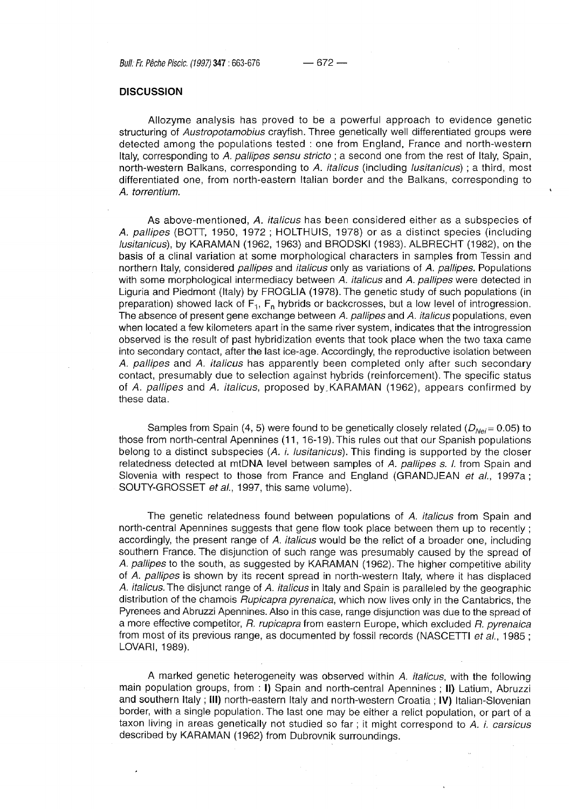Bull: Fr. Pêche Piscic. (1997) **347 :663-676** — 672 —

## **DISCUSSION**

Allozyme analysis has proved to be a powerful approach to evidence genetic structuring of Austropotamobius crayfish. Three genetically well differentiated groups were detected among the populations tested : one from England, France and north-western Italy, corresponding to A, pallipes sensu stricto; a second one from the rest of Italy, Spain, north-western Balkans, corresponding to A. *italicus* (including *lusitanicus*); a third, most differentiated one, from north-eastern Italian border and the Balkans, corresponding to A. torrentium.

As above-mentioned, A . italicus has been considered either as a subspecies of A . pallipes (BOTT, 1950, 1972 ; HOLTHUIS, 1978) or as a distinct species (including lusitanicus), by KARAMAN (1962, 1963) and BRODSKI (1983). ALBRECHT (1982), on the basis of a clinal variation at some morphological characters in samples from Tessin and northern Italy, considered *pallipes* and *italicus* only as variations of A. pallipes. Populations with some morphological intermediacy between A. italicus and A. pallipes were detected in Liguria and Piedmont (Italy) by FROGLIA (1978). The genetic study of such populations (in preparation) showed lack of  $F_1$ ,  $F_n$  hybrids or backcrosses, but a low level of introgression. The absence of present gene exchange between A. pallipes and A. *italicus* populations, even when located a few kilometers apart in the same river system, indicates that the introgression observed is the result of past hybridization events that took place when the two taxa came into secondary contact, after the last ice-age. Accordingly, the reproductive isolation between A. pallipes and A. italicus has apparently been completed only after such secondary contact, presumably due to selection against hybrids (reinforcement). The specific status of A. pallipes and A. italicus, proposed by KARAMAN (1962), appears confirmed by these data.

Samples from Spain (4, 5) were found to be genetically closely related ( $D_{Na}=0.05$ ) to those from north-central Apennines (11, 16-19). This rules out that our Spanish populations belong to a distinct subspecies (A. i. lusitanicus). This finding is supported by the closer relatedness detected at mtDNA level between samples of A. pallipes s. I. from Spain and Slovenia with respect to those from France and England (GRANDJEAN et al., 1997a; SOUTY-GROSSET et al., 1997, this same volume).

The genetic relatedness found between populations of A. *italicus* from Spain and north-central Apennines suggests that gene flow took place between them up to recently ; accordingly, the present range of A. italicus would be the relict of a broader one, including southern France. The disjunction of such range was presumably caused by the spread of A . pallipes to the south, as suggested by KARAMAN (1962). The higher competitive ability of A. pallipes is shown by its recent spread in north-western Italy, where it has displaced A. *italicus*. The disjunct range of A. *italicus* in Italy and Spain is paralleled by the geographic distribution of the chamois Rupicapra pyrenaica, which now lives only in the Cantabrics, the Pyrenees and Abruzzi Apennines. Also in this case, range disjunction was due to the spread of a more effective competitor, R. rupicapra from eastern Europe, which excluded R. pyrenaica from most of its previous range, as documented by fossil records (NASCETTI et al., 1985; LOVARI, 1989).

A marked genetic heterogeneity was observed within A. italicus, with the following main population groups, from : **I)** Spain and north-central Apennines ; **II)** Latium, Abruzzi and southern Italy ; **III)** north-eastern Italy and north-western Croatia ; **IV)** Italian-Slovenian border, with a single population. The last one may be either a relict population, or part of a taxon living in areas genetically not studied so far; it might correspond to A. i. carsicus described by KARAMAN (1962) from Dubrovnik surroundings.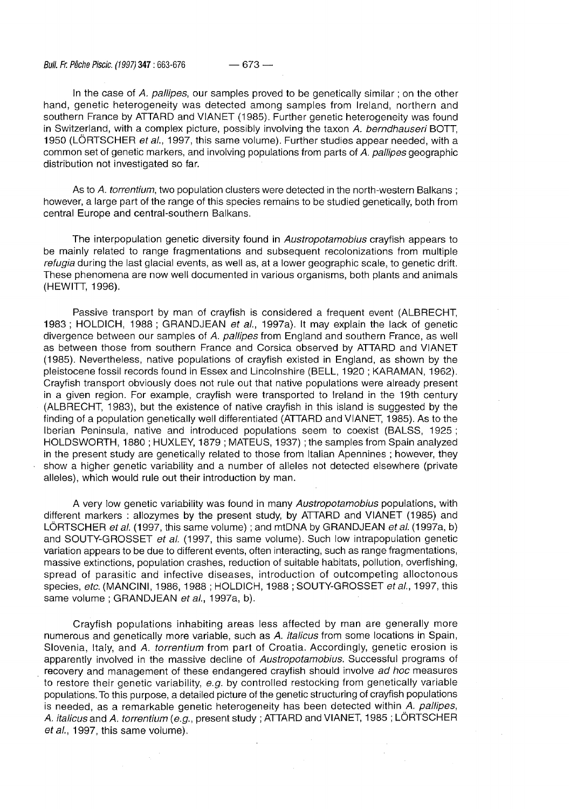Bull. Fr. Pêche Piscic. (1997) **347:663-676** — 673 —

In the case of  $A$ . pallipes, our samples proved to be genetically similar; on the other hand, genetic heterogeneity was detected among samples from Ireland, northern and southern France by ATTARD and VIANET (1985). Further genetic heterogeneity was found in Switzerland, with a complex picture, possibly involving the taxon A. berndhauseri BOTT, 1950 (LÖRTSCHER et al., 1997, this same volume). Further studies appear needed, with a common set of genetic markers, and involving populations from parts of A. pallipes geographic distribution not investigated so far.

As to A. torrentium, two population clusters were detected in the north-western Balkans; however, a large part of the range of this species remains to be studied genetically, both from central Europe and central-southern Balkans.

The interpopulation genetic diversity found in Austropotamobius crayfish appears to be mainly related to range fragmentations and subsequent recolonizations from multiple refugia during the last glacial events, as well as, at a lower geographic scale, to genetic drift. These phenomena are now well documented in various organisms, both plants and animals (HEWITT, 1996).

Passive transport by man of crayfish is considered a frequent event (ALBRECHT, 1983 ; HOLDICH, 1988 ; GRANDJEAN et al., 1997a). It may explain the lack of genetic divergence between our samples of A. pallipes from England and southern France, as well as between those from southern France and Corsica observed by ATTARD and VIANET (1985). Nevertheless, native populations of crayfish existed in England, as shown by the pleistocene fossil records found in Essex and Lincolnshire (BELL, 1920 ; KARAMAN, 1962). Crayfish transport obviously does not rule out that native populations were already present in a given region. For example, crayfish were transported to Ireland in the 19th century (ALBRECHT, 1983), but the existence of native crayfish in this island is suggested by the finding of a population genetically well differentiated (ATTARD and VIANET, 1985). As to the Iberian Peninsula, native and introduced populations seem to coexist (BALSS, 1925; HOLDSWORTH, 1880 ; HUXLEY, 1879 ; MATEUS, 1937) ; the samples from Spain analyzed in the present study are genetically related to those from Italian Apennines ; however, they show a higher genetic variability and a number of alleles not detected elsewhere (private alleles), which would rule out their introduction by man.

A very low genetic variability was found in many Austropotamobius populations, with different markers : allozymes by the present study, by ATTARD and VIANET (1985) and LÖRTSCHER et al. (1997, this same volume); and mtDNA by GRANDJEAN et al. (1997a, b) and SOUTY-GROSSET et al. (1997, this same volume). Such low intrapopulation genetic variation appears to be due to different events, often interacting, such as range fragmentations, massive extinctions, population crashes, reduction of suitable habitats, pollution, overfishing, spread of parasitic and infective diseases, introduction of outcompeting alloctonous species, etc. (MANCINI, 1986, 1988 ; HOLDICH, 1988 ; SOUTY-GROSSET et al., 1997, this same volume ; GRANDJEAN et al., 1997a, b).

Crayfish populations inhabiting areas less affected by man are generally more numerous and genetically more variable, such as A. *italicus* from some locations in Spain, Slovenia, Italy, and A. torrentium from part of Croatia. Accordingly, genetic erosion is apparently involved in the massive decline of Austropotamobius. Successful programs of recovery and management of these endangered crayfish should involve ad hoc measures to restore their genetic variability, e.g. by controlled restocking from genetically variable populations. To this purpose, a detailed picture of the genetic structuring of crayfish populations is needed, as a remarkable genetic heterogeneity has been detected within A. pallipes, A. *italicus* and A. *torrentium (e.g.*, present study; ATTARD and VIANET, 1985; LÖRTSCHER et al., 1997, this same volume).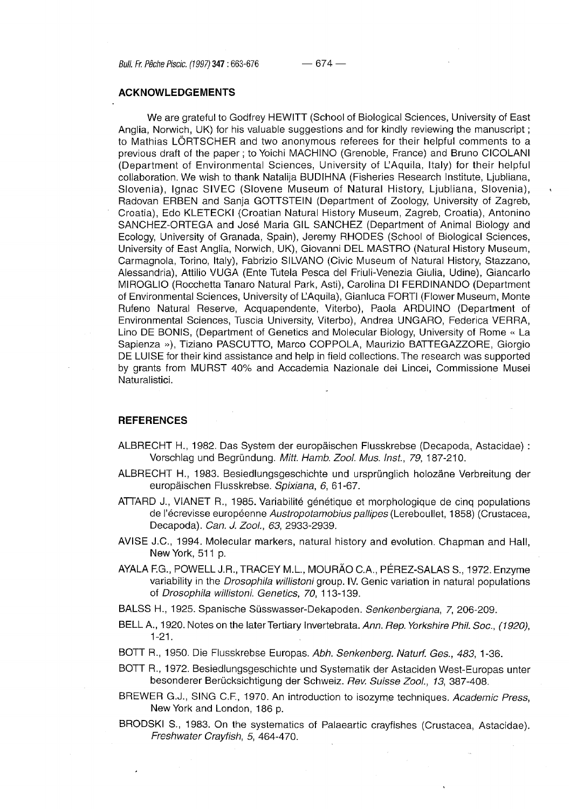## **ACKNOWLEDGEMENTS**

We are grateful to Godfrey HEWITT (School of Biological Sciences, University of East Anglia, Norwich, UK) for his valuable suggestions and for kindly reviewing the manuscript ; to Mathias LÖRTSCHER and two anonymous referees for their helpful comments to a previous draft of the paper ; to Yoichi MACHINO (Grenoble, France) and Bruno CICOLANI (Department of Environmental Sciences, University of L'Aquila, Italy) for their helpful collaboration. We wish to thank Natalija BUDIHNA (Fisheries Research Institute, Ljubliana, Slovenia), Ignac SIVEC (Slovene Museum of Natural History, Ljubliana, Slovenia), Radovan ERBEN and Sanja GOTTSTEIN (Department of Zoology, University of Zagreb, Croatia), Edo KLETECKI (Croatian Natural History Museum, Zagreb, Croatia), Antonino SANCHEZ-ORTEGA and José Maria GIL SANCHEZ (Department of Animal Biology and Ecology, University of Granada, Spain), Jeremy RHODES (School of Biological Sciences, University of East Anglia, Norwich, UK), Giovanni DEL MASTRO (Natural History Museum, Carmagnola, Torino, Italy), Fabrizio SILVANO (Civic Museum of Natural History, Stazzano, Alessandria), Attilio VUGA (Ente Tutela Pesca del Friuli-Venezia Giulia, Udine), Giancarlo MIROGLIO (Rocchetta Tanaro Natural Park, Asti), Carolina DI FERDINANDO (Department of Environmental Sciences, University of LAquila), Gianluca FORTI (Flower Museum, Monte Rufeno Natural Reserve, Acquapendente, Viterbo), Paola ARDUINO (Department of Environmental Sciences, Tuscia University, Viterbo), Andrea UNGARO, Federica VERRA, Lino DE BONIS, (Department of Genetics and Molecular Biology, University of Rome « La Sapienza »), Tiziano PASCUTTO, Marco COPPOLA, Maurizio BATTEGAZZORE, Giorgio DE LUISE for their kind assistance and help in field collections. The research was supported by grants from MURST 40% and Accademia Nazionale dei Lincei, Commissione Musei Naturalistici.

## **REFERENCES**

- ALBRECHT H, 1982. Das System der europäischen Flusskrebse (Decapoda, Astacidae) : Vorschlag und Begründung. Mitt. Hamb. Zool. Mus. Inst, 79, 187-210.
- ALBRECHT H, 1983. Besiedlungsgeschichte und ursprünglich holozäne Verbreitung der europäischen Flusskrebse. Spixiana, 6, 61-67.
- ATTARD J., VIANET R., 1985. Variabilité génétique et morphologique de cinq populations de l'écrevisse européenne Austropotamobius pallipes (Lereboullet, 1858) (Crustacea, Decapoda). Can. J. Zool., 63, 2933-2939.
- AVISE J.C., 1994. Molecular markers, natural history and evolution. Chapman and Hall, New York, 511 p.
- AYALA F.G., POWELL J.R., TRACEY M.L, MOURÄO C.A., PÉREZ-SALAS S., 1972. Enzyme variability in the Drosophila willistoni group. IV. Genic variation in natural populations of Drosophila willistoni. Genetics, 70, 113-139.
- BALSS H., 1925. Spanische Süsswasser-Dekapoden. Senkenbergiana, 7, 206-209.
- BELL A., 1920. Notes on the later Tertiary Invertebrata. Ann. Rep. Yorkshire Phil. Soc., (1920), 1-21.
- BOTT R., 1950. Die Flusskrebse Europas. Abh. Senkenberg. Naturf. Ges., 483, 1-36.
- BOTT R, 1972. Besiedlungsgeschichte und Systematik der Astaciden West-Europas unter besonderer Berücksichtigung der Schweiz. Rev. Suisse Zool., 13, 387-408.
- BREWER G.J., SING C.F., 1970. An introduction to isozyme techniques. Academic Press, New York and London, 186 p.
- BRODSKI S, 1983. On the systematics of Palaeartic crayfishes (Crustacea, Astacidae). Freshwater Crayfish, 5, 464-470.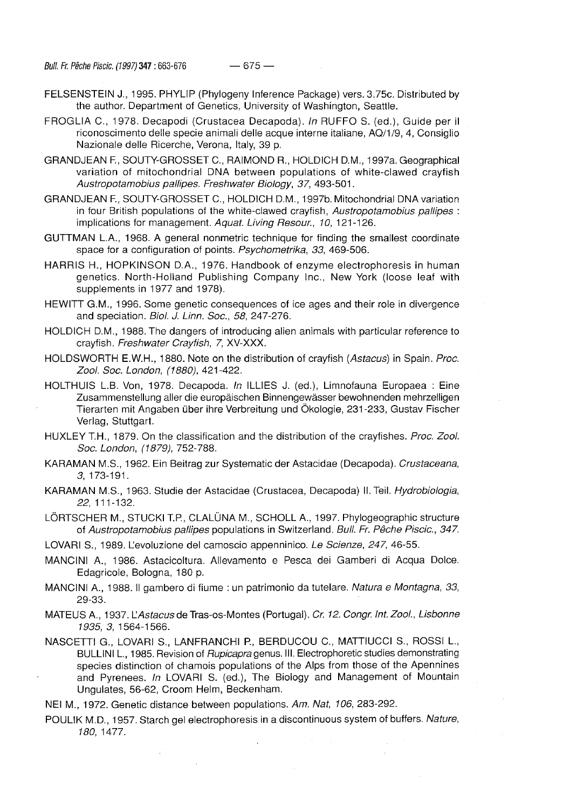- FELSENSTEIN J., 1995. PHYLIP (Phylogeny Inference Package) vers. 3.75c. Distributed by the author. Department of Genetics, University of Washington, Seattle.
- FROGLIA C., 1978. Decapodi (Crustacea Decapoda). In RUFFO S. (ed.), Guide per il riconoscimento delle specie animali delle acque interne italiane, AQ/1/9, 4, Consiglio Nazionale delle Ricerche, Verona, Italy, 39 p.
- GRANDJEAN F, SOUTY-GROSSET C, RAIMOND R., HOLDICH D.M., 1997a. Geographical variation of mitochondrial DNA between populations of white-clawed crayfish Austropotamobius pallipes. Freshwater Biology, 37, 493-501.
- GRANDJEAN R, SOUTY-GROSSET C, HOLDICH D.M., 1997b. Mitochondrial DNA variation in four British populations of the white-clawed crayfish, Austropotamobius pallipes : implications for management. Aquat. Living Resour., 10, 121-126.
- GUTTMAN L.A., 1968. A general nonmetric technique for finding the smallest coordinate space for a configuration of points. Psychometrika, 33, 469-506.
- HARRIS H., HOPKINSON D.A., 1976. Handbook of enzyme electrophoresis in human genetics. North-Holland Publishing Company Inc., New York (loose leaf with supplements in 1977 and 1978).
- HEWITT G.M., 1996. Some genetic consequences of ice ages and their role in divergence and speciation. Biol. J. Linn. Soc, 58, 247-276.
- HOLDICH D.M., 1988. The dangers of introducing alien animals with particular reference to crayfish. Freshwater Crayfish, 7, XV-XXX.
- HOLDSWORTH E.W.H., 1880. Note on the distribution of crayfish (Astacus) in Spain. Proc. Zool. Soc. London, (1880), 421-422.
- HOLTHUIS L.B. Von, 1978. Decapoda. In ILLIES J. (ed.), Limnofauna Europaea : Eine Zusammenstellung aller die europäischen Binnengewässer bewohnenden mehrzelligen Tierarten mit Angaben über ihre Verbreitung und Ökologie, 231-233, Gustav Fischer Verlag, Stuttgart.
- HUXLEY T.H., 1879. On the classification and the distribution of the crayfishes. Proc. Zool. Soc. London, (1879), 752-788.
- KARAMAN M.S., 1962. Ein Beitrag zur Systematic der Astacidae (Decapoda). Crustaceana, 3, 173-191.
- KARAMAN M.S., 1963. Studie der Astacidae (Crustacea, Decapoda) II. Teil. Hydrobiologia, 22, 111-132.
- LÖRTSCHER M., STUCKI T.P., CLALÜNA M., SCHOLL A., 1997. Phylogeographic structure of Austropotamobius pallipes populations in Switzerland. Bull. Fr. Pêche Piscic, 347.

LOVARI S., 1989. L'evoluzione del camoscio appenninico. Le Scienze, 247, 46-55.

- MANCINI A., 1986. Astacicoltura. Allevamento e Pesca dei Gamberi di Acqua Dolce. Edagricole, Bologna, 180 p.
- MANCINI A., 1988. II gambero di fiume : un patrimonio da tutelare. Natura e Montagna, 33, 29-33.
- MATEUS A., 1937. L'Astacus de Tras-os-Montes (Portugal). Cr. 12. Congr. Int. Zool., Lisbonne 1935, 3, 1564-1566.
- NASCETTI G., LOVARI S., LANFRANCHI P., BERDUCOU C, MATTIUCCI S., ROSSI L, BULLINI L., 1985. Revision of *Rupicapra* genus. III. Electrophoretic studies demonstrating species distinction of chamois populations of the Alps from those of the Apennines and Pyrenees. In LOVARI S. (ed.), The Biology and Management of Mountain Ungulates, 56-62, Croom Helm, Beckenham.

NEI M., 1972. Genetic distance between populations. Am. Nat, 106, 283-292.

POULIK M.D., 1957. Starch gel electrophoresis in a discontinuous system of buffers. Nature, 180, 1477.